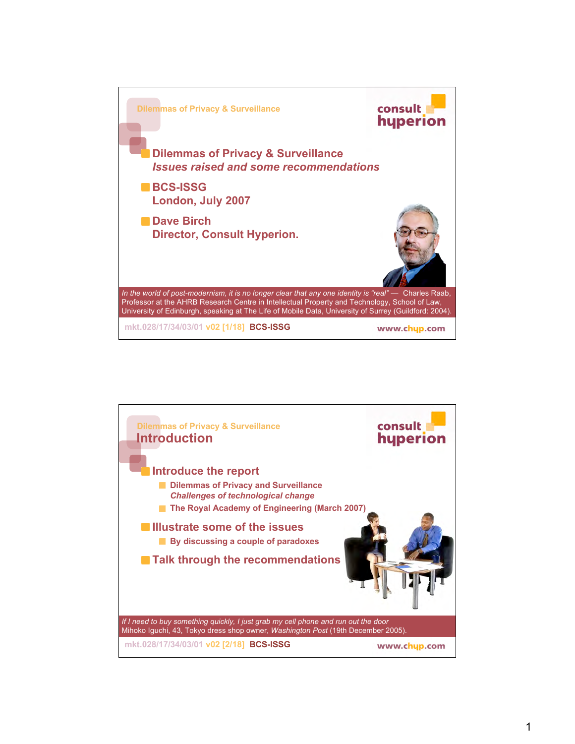

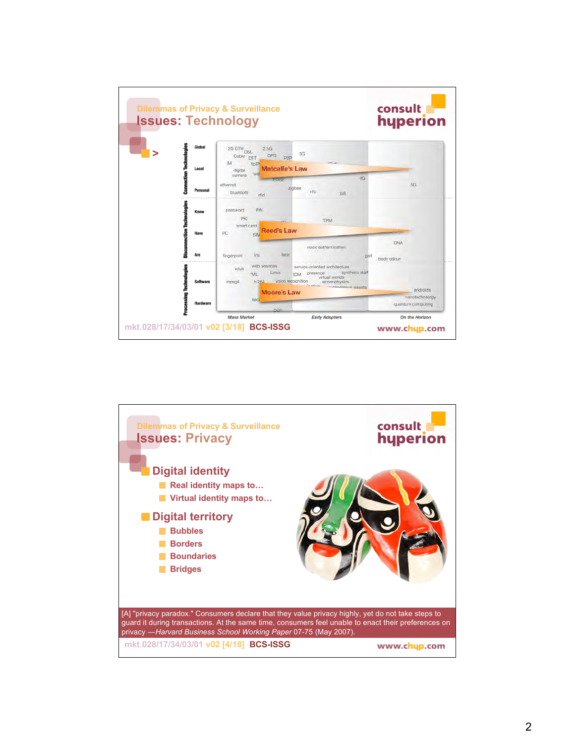

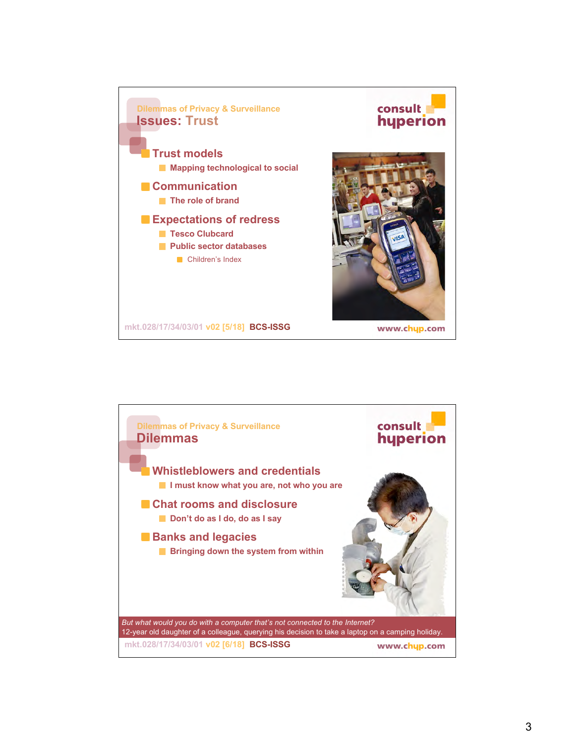

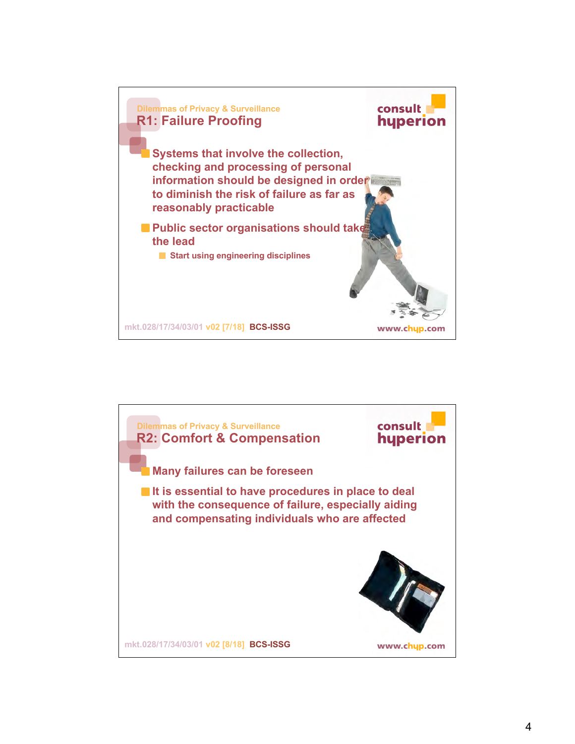

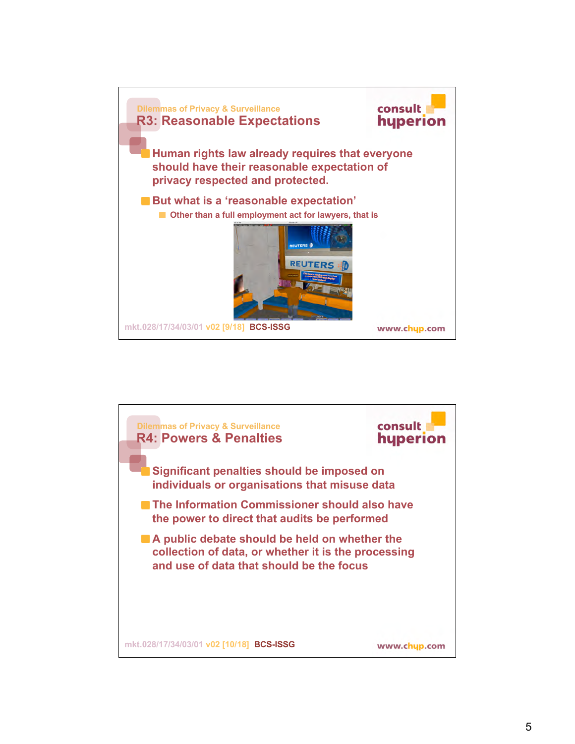

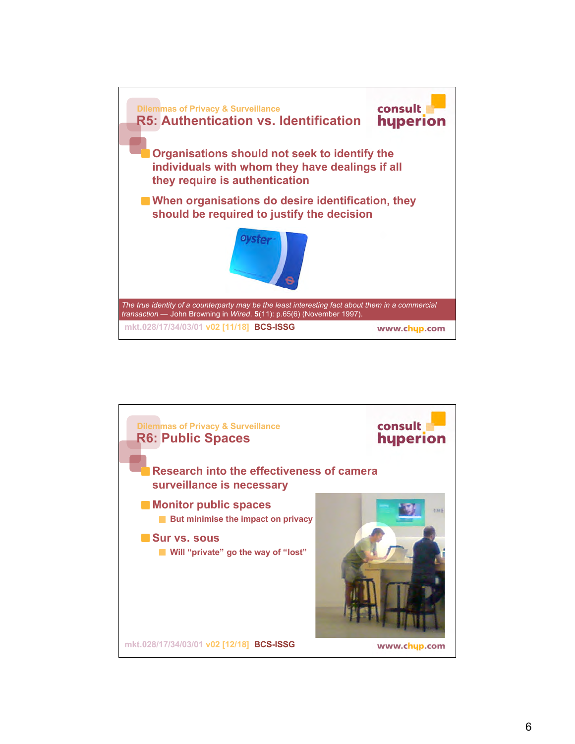

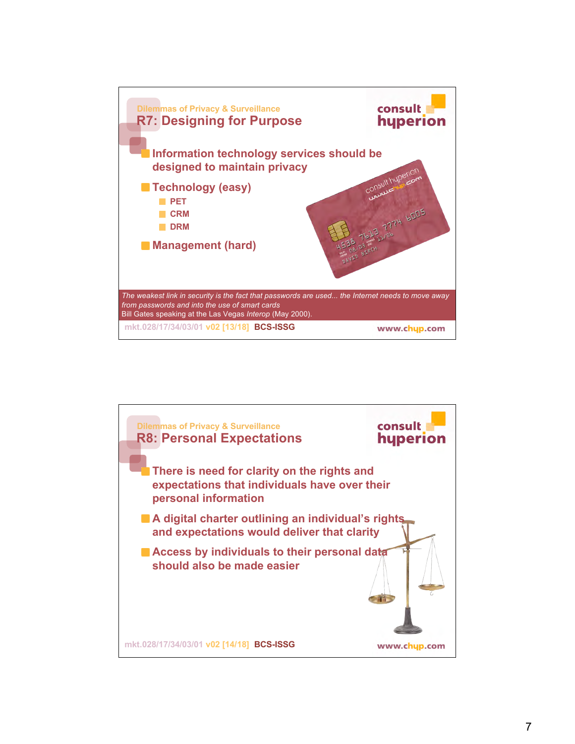

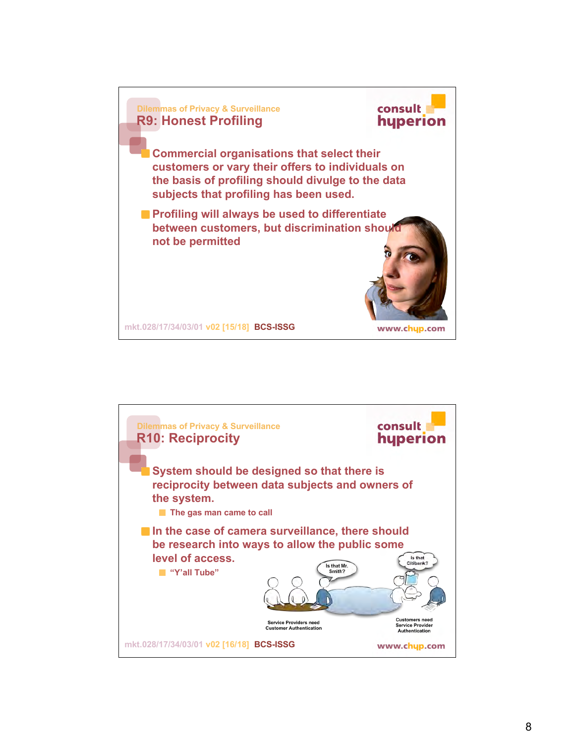